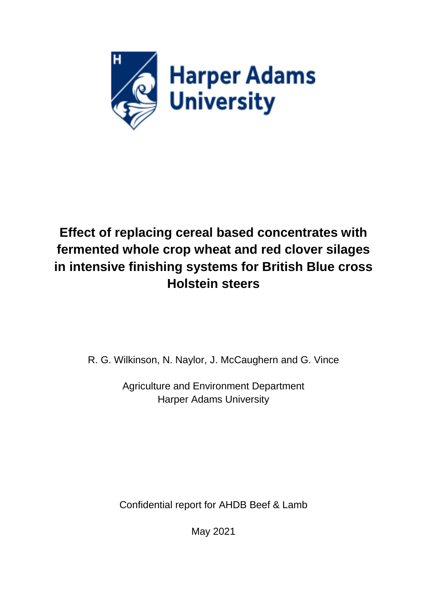

# **Effect of replacing cereal based concentrates with fermented whole crop wheat and red clover silages in intensive finishing systems for British Blue cross Holstein steers**

R. G. Wilkinson, N. Naylor, J. McCaughern and G. Vince

Agriculture and Environment Department Harper Adams University

Confidential report for AHDB Beef & Lamb

May 2021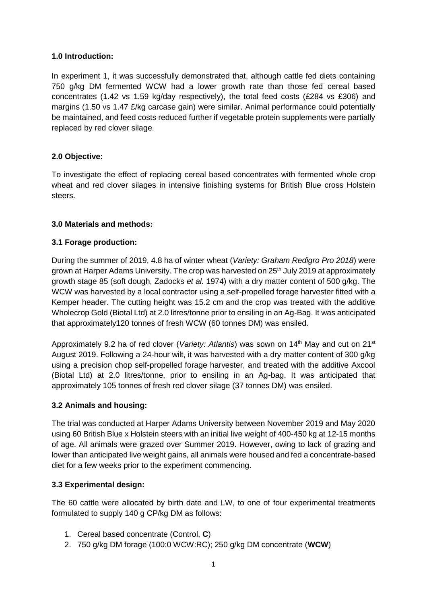## **1.0 Introduction:**

In experiment 1, it was successfully demonstrated that, although cattle fed diets containing 750 g/kg DM fermented WCW had a lower growth rate than those fed cereal based concentrates (1.42 vs 1.59 kg/day respectively), the total feed costs (£284 vs £306) and margins (1.50 vs 1.47 £/kg carcase gain) were similar. Animal performance could potentially be maintained, and feed costs reduced further if vegetable protein supplements were partially replaced by red clover silage.

## **2.0 Objective:**

To investigate the effect of replacing cereal based concentrates with fermented whole crop wheat and red clover silages in intensive finishing systems for British Blue cross Holstein steers.

## **3.0 Materials and methods:**

## **3.1 Forage production:**

During the summer of 2019, 4.8 ha of winter wheat (*Variety: Graham Redigro Pro 2018*) were grown at Harper Adams University. The crop was harvested on  $25<sup>th</sup>$  July 2019 at approximately growth stage 85 (soft dough, Zadocks *et al.* 1974) with a dry matter content of 500 g/kg. The WCW was harvested by a local contractor using a self-propelled forage harvester fitted with a Kemper header. The cutting height was 15.2 cm and the crop was treated with the additive Wholecrop Gold (Biotal Ltd) at 2.0 litres/tonne prior to ensiling in an Ag-Bag. It was anticipated that approximately120 tonnes of fresh WCW (60 tonnes DM) was ensiled.

Approximately 9.2 ha of red clover (*Variety: Atlantis*) was sown on 14<sup>th</sup> May and cut on 21<sup>st</sup> August 2019. Following a 24-hour wilt, it was harvested with a dry matter content of 300 g/kg using a precision chop self-propelled forage harvester, and treated with the additive Axcool (Biotal Ltd) at 2.0 litres/tonne, prior to ensiling in an Ag-bag. It was anticipated that approximately 105 tonnes of fresh red clover silage (37 tonnes DM) was ensiled.

## **3.2 Animals and housing:**

The trial was conducted at Harper Adams University between November 2019 and May 2020 using 60 British Blue x Holstein steers with an initial live weight of 400-450 kg at 12-15 months of age. All animals were grazed over Summer 2019. However, owing to lack of grazing and lower than anticipated live weight gains, all animals were housed and fed a concentrate-based diet for a few weeks prior to the experiment commencing.

## **3.3 Experimental design:**

The 60 cattle were allocated by birth date and LW, to one of four experimental treatments formulated to supply 140 g CP/kg DM as follows:

- 1. Cereal based concentrate (Control, **C**)
- 2. 750 g/kg DM forage (100:0 WCW:RC); 250 g/kg DM concentrate (**WCW**)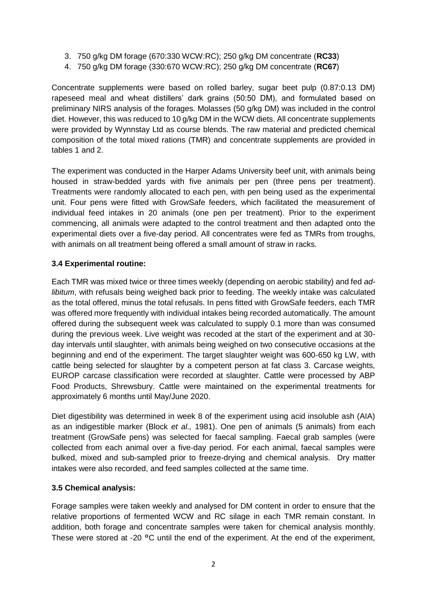- 3. 750 g/kg DM forage (670:330 WCW:RC); 250 g/kg DM concentrate (**RC33**)
- 4. 750 g/kg DM forage (330:670 WCW:RC); 250 g/kg DM concentrate (**RC67**)

Concentrate supplements were based on rolled barley, sugar beet pulp (0.87:0.13 DM) rapeseed meal and wheat distillers' dark grains (50:50 DM), and formulated based on preliminary NIRS analysis of the forages. Molasses (50 g/kg DM) was included in the control diet. However, this was reduced to 10 g/kg DM in the WCW diets. All concentrate supplements were provided by Wynnstay Ltd as course blends. The raw material and predicted chemical composition of the total mixed rations (TMR) and concentrate supplements are provided in tables 1 and 2.

The experiment was conducted in the Harper Adams University beef unit, with animals being housed in straw-bedded yards with five animals per pen (three pens per treatment). Treatments were randomly allocated to each pen, with pen being used as the experimental unit. Four pens were fitted with GrowSafe feeders, which facilitated the measurement of individual feed intakes in 20 animals (one pen per treatment). Prior to the experiment commencing, all animals were adapted to the control treatment and then adapted onto the experimental diets over a five-day period. All concentrates were fed as TMRs from troughs, with animals on all treatment being offered a small amount of straw in racks.

## **3.4 Experimental routine:**

Each TMR was mixed twice or three times weekly (depending on aerobic stability) and fed *adlibitum*, with refusals being weighed back prior to feeding. The weekly intake was calculated as the total offered, minus the total refusals. In pens fitted with GrowSafe feeders, each TMR was offered more frequently with individual intakes being recorded automatically. The amount offered during the subsequent week was calculated to supply 0.1 more than was consumed during the previous week. Live weight was recoded at the start of the experiment and at 30 day intervals until slaughter, with animals being weighed on two consecutive occasions at the beginning and end of the experiment. The target slaughter weight was 600-650 kg LW, with cattle being selected for slaughter by a competent person at fat class 3. Carcase weights, EUROP carcase classification were recorded at slaughter. Cattle were processed by ABP Food Products, Shrewsbury. Cattle were maintained on the experimental treatments for approximately 6 months until May/June 2020.

Diet digestibility was determined in week 8 of the experiment using acid insoluble ash (AIA) as an indigestible marker (Block *et al.,* 1981). One pen of animals (5 animals) from each treatment (GrowSafe pens) was selected for faecal sampling. Faecal grab samples (were collected from each animal over a five-day period. For each animal, faecal samples were bulked, mixed and sub-sampled prior to freeze-drying and chemical analysis. Dry matter intakes were also recorded, and feed samples collected at the same time.

## **3.5 Chemical analysis:**

Forage samples were taken weekly and analysed for DM content in order to ensure that the relative proportions of fermented WCW and RC silage in each TMR remain constant. In addition, both forage and concentrate samples were taken for chemical analysis monthly. These were stored at -20 °C until the end of the experiment. At the end of the experiment,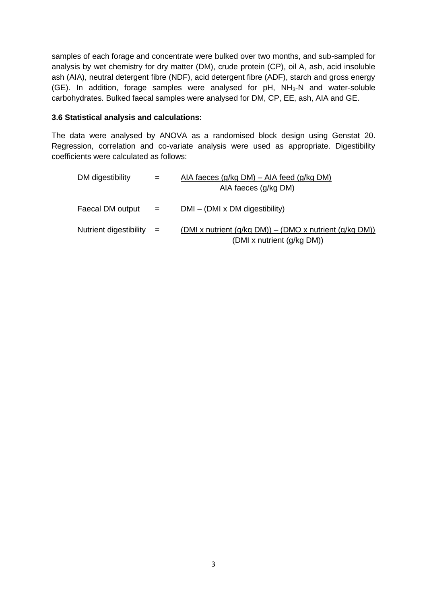samples of each forage and concentrate were bulked over two months, and sub-sampled for analysis by wet chemistry for dry matter (DM), crude protein (CP), oil A, ash, acid insoluble ash (AIA), neutral detergent fibre (NDF), acid detergent fibre (ADF), starch and gross energy (GE). In addition, forage samples were analysed for  $pH$ ,  $NH<sub>3</sub>-N$  and water-soluble carbohydrates. Bulked faecal samples were analysed for DM, CP, EE, ash, AIA and GE.

#### **3.6 Statistical analysis and calculations:**

The data were analysed by ANOVA as a randomised block design using Genstat 20. Regression, correlation and co-variate analysis were used as appropriate. Digestibility coefficients were calculated as follows:

| DM digestibility           | $=$ | AIA faeces $(g/kg DM) - AIA$ feed $(g/kg DM)$                                               |
|----------------------------|-----|---------------------------------------------------------------------------------------------|
|                            |     | AIA faeces (g/kg DM)                                                                        |
| Faecal DM output           | $=$ | $DMI - (DMI \times DM$ digestibility)                                                       |
| Nutrient digestibility $=$ |     | (DMI x nutrient $(g/kg DM)$ ) – (DMO x nutrient $(g/kg DM)$ )<br>(DMI x nutrient (g/kg DM)) |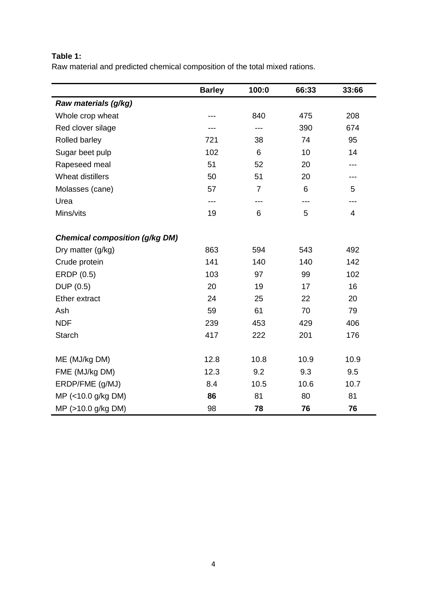# **Table 1:**

Raw material and predicted chemical composition of the total mixed rations.

|                                       | <b>Barley</b> | 100:0          | 66:33 | 33:66                    |
|---------------------------------------|---------------|----------------|-------|--------------------------|
| Raw materials (g/kg)                  |               |                |       |                          |
| Whole crop wheat                      | ---           | 840            | 475   | 208                      |
| Red clover silage                     |               | ---            | 390   | 674                      |
| Rolled barley                         | 721           | 38             | 74    | 95                       |
| Sugar beet pulp                       | 102           | 6              | 10    | 14                       |
| Rapeseed meal                         | 51            | 52             | 20    | ---                      |
| Wheat distillers                      | 50            | 51             | 20    | ---                      |
| Molasses (cane)                       | 57            | $\overline{7}$ | 6     | 5                        |
| Urea                                  | ---           | ---            | ---   | ---                      |
| Mins/vits                             | 19            | 6              | 5     | $\overline{\mathcal{A}}$ |
|                                       |               |                |       |                          |
| <b>Chemical composition (g/kg DM)</b> |               |                |       |                          |
| Dry matter (g/kg)                     | 863           | 594            | 543   | 492                      |
| Crude protein                         | 141           | 140            | 140   | 142                      |
| ERDP (0.5)                            | 103           | 97             | 99    | 102                      |
| DUP (0.5)                             | 20            | 19             | 17    | 16                       |
| <b>Ether extract</b>                  | 24            | 25             | 22    | 20                       |
| Ash                                   | 59            | 61             | 70    | 79                       |
| <b>NDF</b>                            | 239           | 453            | 429   | 406                      |
| <b>Starch</b>                         | 417           | 222            | 201   | 176                      |
|                                       |               |                |       |                          |
| ME (MJ/kg DM)                         | 12.8          | 10.8           | 10.9  | 10.9                     |
| FME (MJ/kg DM)                        | 12.3          | 9.2            | 9.3   | 9.5                      |
| ERDP/FME (g/MJ)                       | 8.4           | 10.5           | 10.6  | 10.7                     |
| MP (<10.0 g/kg DM)                    | 86            | 81             | 80    | 81                       |
| MP (>10.0 g/kg DM)                    | 98            | 78             | 76    | 76                       |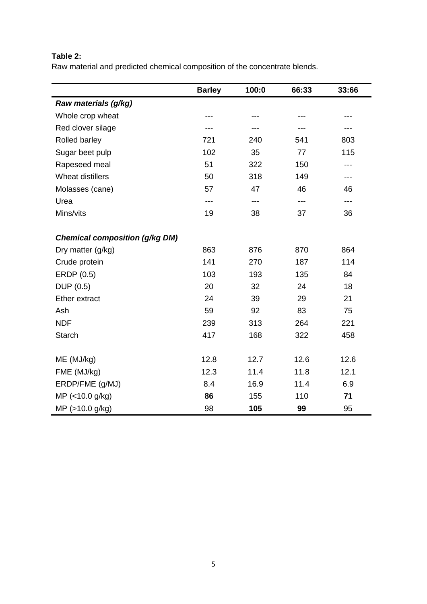# **Table 2:**

Raw material and predicted chemical composition of the concentrate blends.

|                                       | <b>Barley</b> | 100:0 | 66:33 | 33:66 |
|---------------------------------------|---------------|-------|-------|-------|
| Raw materials (g/kg)                  |               |       |       |       |
| Whole crop wheat                      |               |       |       |       |
| Red clover silage                     |               |       |       |       |
| Rolled barley                         | 721           | 240   | 541   | 803   |
| Sugar beet pulp                       | 102           | 35    | 77    | 115   |
| Rapeseed meal                         | 51            | 322   | 150   | ---   |
| Wheat distillers                      | 50            | 318   | 149   | ---   |
| Molasses (cane)                       | 57            | 47    | 46    | 46    |
| Urea                                  |               | ---   | ---   | ---   |
| Mins/vits                             | 19            | 38    | 37    | 36    |
| <b>Chemical composition (g/kg DM)</b> |               |       |       |       |
| Dry matter (g/kg)                     | 863           | 876   | 870   | 864   |
| Crude protein                         | 141           | 270   | 187   | 114   |
| ERDP (0.5)                            | 103           | 193   | 135   | 84    |
| DUP (0.5)                             | 20            | 32    | 24    | 18    |
| <b>Ether extract</b>                  | 24            | 39    | 29    | 21    |
| Ash                                   | 59            | 92    | 83    | 75    |
| <b>NDF</b>                            | 239           | 313   | 264   | 221   |
| <b>Starch</b>                         | 417           | 168   | 322   | 458   |
| ME (MJ/kg)                            | 12.8          | 12.7  | 12.6  | 12.6  |
| FME (MJ/kg)                           | 12.3          | 11.4  | 11.8  | 12.1  |
| ERDP/FME (g/MJ)                       | 8.4           | 16.9  | 11.4  | 6.9   |
| MP (<10.0 g/kg)                       | 86            | 155   | 110   | 71    |
| MP (>10.0 g/kg)                       | 98            | 105   | 99    | 95    |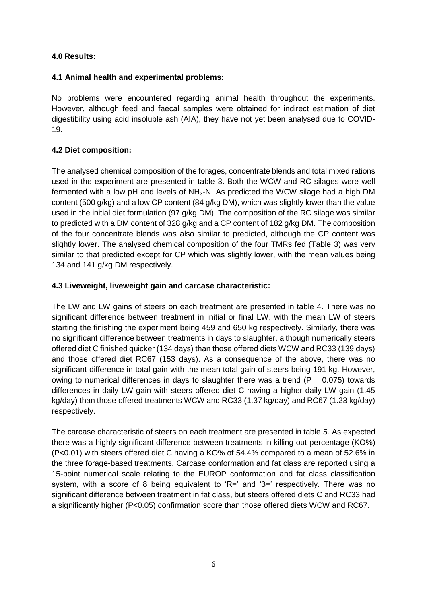## **4.0 Results:**

#### **4.1 Animal health and experimental problems:**

No problems were encountered regarding animal health throughout the experiments. However, although feed and faecal samples were obtained for indirect estimation of diet digestibility using acid insoluble ash (AIA), they have not yet been analysed due to COVID-19.

## **4.2 Diet composition:**

The analysed chemical composition of the forages, concentrate blends and total mixed rations used in the experiment are presented in table 3. Both the WCW and RC silages were well fermented with a low pH and levels of  $NH<sub>3</sub>-N$ . As predicted the WCW silage had a high DM content (500 g/kg) and a low CP content (84 g/kg DM), which was slightly lower than the value used in the initial diet formulation (97 g/kg DM). The composition of the RC silage was similar to predicted with a DM content of 328 g/kg and a CP content of 182 g/kg DM. The composition of the four concentrate blends was also similar to predicted, although the CP content was slightly lower. The analysed chemical composition of the four TMRs fed (Table 3) was very similar to that predicted except for CP which was slightly lower, with the mean values being 134 and 141 g/kg DM respectively.

## **4.3 Liveweight, liveweight gain and carcase characteristic:**

The LW and LW gains of steers on each treatment are presented in table 4. There was no significant difference between treatment in initial or final LW, with the mean LW of steers starting the finishing the experiment being 459 and 650 kg respectively. Similarly, there was no significant difference between treatments in days to slaughter, although numerically steers offered diet C finished quicker (134 days) than those offered diets WCW and RC33 (139 days) and those offered diet RC67 (153 days). As a consequence of the above, there was no significant difference in total gain with the mean total gain of steers being 191 kg. However, owing to numerical differences in days to slaughter there was a trend ( $P = 0.075$ ) towards differences in daily LW gain with steers offered diet C having a higher daily LW gain (1.45 kg/day) than those offered treatments WCW and RC33 (1.37 kg/day) and RC67 (1.23 kg/day) respectively.

The carcase characteristic of steers on each treatment are presented in table 5. As expected there was a highly significant difference between treatments in killing out percentage (KO%) (P<0.01) with steers offered diet C having a KO% of 54.4% compared to a mean of 52.6% in the three forage-based treatments. Carcase conformation and fat class are reported using a 15-point numerical scale relating to the EUROP conformation and fat class classification system, with a score of 8 being equivalent to 'R=' and '3=' respectively. There was no significant difference between treatment in fat class, but steers offered diets C and RC33 had a significantly higher (P<0.05) confirmation score than those offered diets WCW and RC67.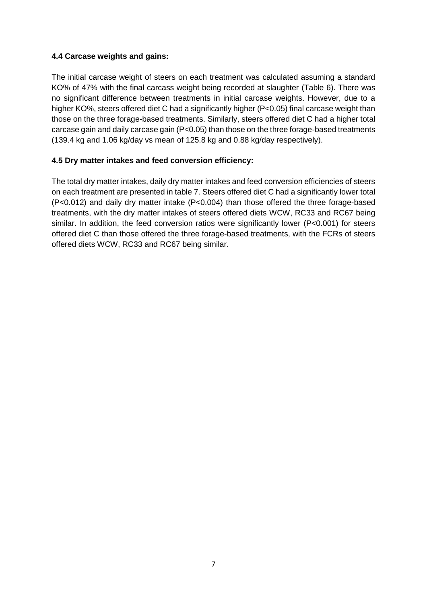#### **4.4 Carcase weights and gains:**

The initial carcase weight of steers on each treatment was calculated assuming a standard KO% of 47% with the final carcass weight being recorded at slaughter (Table 6). There was no significant difference between treatments in initial carcase weights. However, due to a higher KO%, steers offered diet C had a significantly higher (P<0.05) final carcase weight than those on the three forage-based treatments. Similarly, steers offered diet C had a higher total carcase gain and daily carcase gain (P<0.05) than those on the three forage-based treatments (139.4 kg and 1.06 kg/day vs mean of 125.8 kg and 0.88 kg/day respectively).

## **4.5 Dry matter intakes and feed conversion efficiency:**

The total dry matter intakes, daily dry matter intakes and feed conversion efficiencies of steers on each treatment are presented in table 7. Steers offered diet C had a significantly lower total (P<0.012) and daily dry matter intake (P<0.004) than those offered the three forage-based treatments, with the dry matter intakes of steers offered diets WCW, RC33 and RC67 being similar. In addition, the feed conversion ratios were significantly lower (P<0.001) for steers offered diet C than those offered the three forage-based treatments, with the FCRs of steers offered diets WCW, RC33 and RC67 being similar.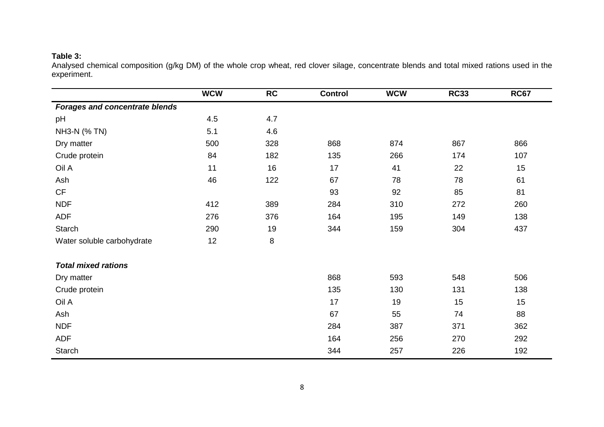## **Table 3:**

Analysed chemical composition (g/kg DM) of the whole crop wheat, red clover silage, concentrate blends and total mixed rations used in the experiment.

|                                       | <b>WCW</b> | RC  | <b>Control</b> | <b>WCW</b> | <b>RC33</b> | <b>RC67</b> |
|---------------------------------------|------------|-----|----------------|------------|-------------|-------------|
| <b>Forages and concentrate blends</b> |            |     |                |            |             |             |
| pH                                    | 4.5        | 4.7 |                |            |             |             |
| NH3-N (% TN)                          | 5.1        | 4.6 |                |            |             |             |
| Dry matter                            | 500        | 328 | 868            | 874        | 867         | 866         |
| Crude protein                         | 84         | 182 | 135            | 266        | 174         | 107         |
| Oil A                                 | 11         | 16  | 17             | 41         | 22          | 15          |
| Ash                                   | 46         | 122 | 67             | 78         | 78          | 61          |
| <b>CF</b>                             |            |     | 93             | 92         | 85          | 81          |
| <b>NDF</b>                            | 412        | 389 | 284            | 310        | 272         | 260         |
| <b>ADF</b>                            | 276        | 376 | 164            | 195        | 149         | 138         |
| Starch                                | 290        | 19  | 344            | 159        | 304         | 437         |
| Water soluble carbohydrate            | 12         | 8   |                |            |             |             |
| <b>Total mixed rations</b>            |            |     |                |            |             |             |
| Dry matter                            |            |     | 868            | 593        | 548         | 506         |
| Crude protein                         |            |     | 135            | 130        | 131         | 138         |
| Oil A                                 |            |     | 17             | 19         | 15          | 15          |
| Ash                                   |            |     | 67             | 55         | 74          | 88          |
| <b>NDF</b>                            |            |     | 284            | 387        | 371         | 362         |
| <b>ADF</b>                            |            |     | 164            | 256        | 270         | 292         |
| Starch                                |            |     | 344            | 257        | 226         | 192         |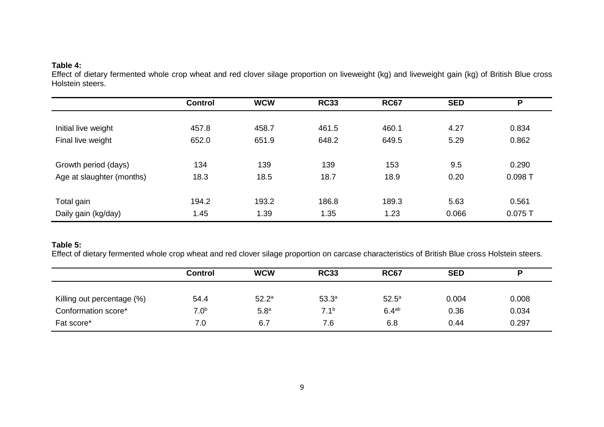#### **Table 4:**

Effect of dietary fermented whole crop wheat and red clover silage proportion on liveweight (kg) and liveweight gain (kg) of British Blue cross Holstein steers.

|                           | <b>Control</b> | <b>WCW</b> | <b>RC33</b> | <b>RC67</b> | <b>SED</b> | P         |
|---------------------------|----------------|------------|-------------|-------------|------------|-----------|
|                           |                |            |             |             |            |           |
| Initial live weight       | 457.8          | 458.7      | 461.5       | 460.1       | 4.27       | 0.834     |
| Final live weight         | 652.0          | 651.9      | 648.2       | 649.5       | 5.29       | 0.862     |
|                           |                |            |             |             |            |           |
| Growth period (days)      | 134            | 139        | 139         | 153         | 9.5        | 0.290     |
| Age at slaughter (months) | 18.3           | 18.5       | 18.7        | 18.9        | 0.20       | 0.098T    |
|                           |                |            |             |             |            |           |
| Total gain                | 194.2          | 193.2      | 186.8       | 189.3       | 5.63       | 0.561     |
| Daily gain (kg/day)       | 1.45           | 1.39       | 1.35        | 1.23        | 0.066      | $0.075$ T |

## **Table 5:**

Effect of dietary fermented whole crop wheat and red clover silage proportion on carcase characteristics of British Blue cross Holstein steers.

|                            | <b>Control</b>   | <b>WCW</b>        | <b>RC33</b>       | <b>RC67</b>       | <b>SED</b> | P     |
|----------------------------|------------------|-------------------|-------------------|-------------------|------------|-------|
| Killing out percentage (%) | 54.4             | 52.2 <sup>a</sup> | 53.3 <sup>a</sup> | 52.5 <sup>a</sup> | 0.004      | 0.008 |
| Conformation score*        | 7.0 <sup>b</sup> | 5.8 <sup>a</sup>  | 7.1 <sup>b</sup>  | 6.4 <sup>ab</sup> | 0.36       | 0.034 |
| Fat score*                 | 7.0              | 6.7               | 7.6               | 6.8               | 0.44       | 0.297 |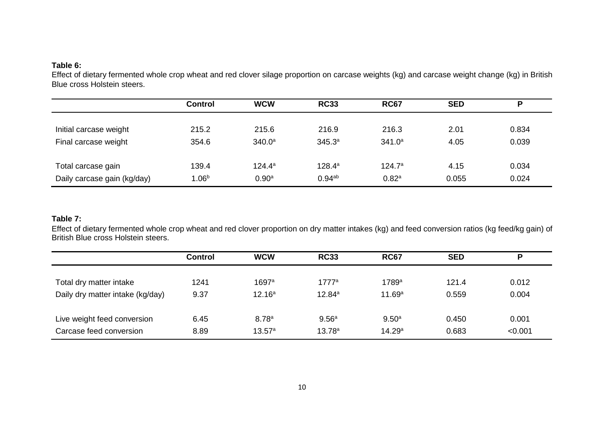#### **Table 6:**

Effect of dietary fermented whole crop wheat and red clover silage proportion on carcase weights (kg) and carcase weight change (kg) in British Blue cross Holstein steers.

|                             | <b>Control</b>    | <b>WCW</b>         | <b>RC33</b>        | <b>RC67</b>        | <b>SED</b> | P     |
|-----------------------------|-------------------|--------------------|--------------------|--------------------|------------|-------|
|                             |                   |                    |                    |                    |            |       |
| Initial carcase weight      | 215.2             | 215.6              | 216.9              | 216.3              | 2.01       | 0.834 |
| Final carcase weight        | 354.6             | 340.0 <sup>a</sup> | $345.3^{a}$        | 341.0 <sup>a</sup> | 4.05       | 0.039 |
|                             |                   |                    |                    |                    |            |       |
| Total carcase gain          | 139.4             | $124.4^a$          | $128.4^a$          | $124.7^{\circ}$    | 4.15       | 0.034 |
| Daily carcase gain (kg/day) | 1.06 <sup>b</sup> | 0.90 <sup>a</sup>  | 0.94 <sup>ab</sup> | 0.82 <sup>a</sup>  | 0.055      | 0.024 |

#### **Table 7:**

Effect of dietary fermented whole crop wheat and red clover proportion on dry matter intakes (kg) and feed conversion ratios (kg feed/kg gain) of British Blue cross Holstein steers.

|                                  | <b>Control</b> | <b>WCW</b>         | <b>RC33</b>        | <b>RC67</b>       | <b>SED</b> | P       |
|----------------------------------|----------------|--------------------|--------------------|-------------------|------------|---------|
|                                  |                |                    |                    |                   |            |         |
| Total dry matter intake          | 1241           | 1697a              | $1777^a$           | 1789a             | 121.4      | 0.012   |
| Daily dry matter intake (kg/day) | 9.37           | 12.16 <sup>a</sup> | 12.84a             | 11.69a            | 0.559      | 0.004   |
|                                  |                |                    |                    |                   |            |         |
| Live weight feed conversion      | 6.45           | 8.78 <sup>a</sup>  | 9.56 <sup>a</sup>  | 9.50 <sup>a</sup> | 0.450      | 0.001   |
| Carcase feed conversion          | 8.89           | 13.57a             | 13.78 <sup>a</sup> | 14.29a            | 0.683      | < 0.001 |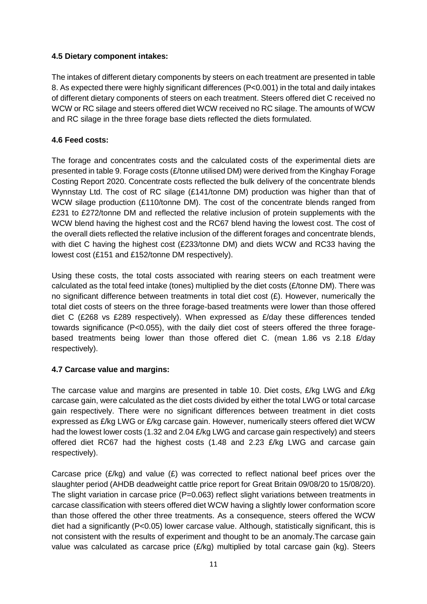#### **4.5 Dietary component intakes:**

The intakes of different dietary components by steers on each treatment are presented in table 8. As expected there were highly significant differences (P<0.001) in the total and daily intakes of different dietary components of steers on each treatment. Steers offered diet C received no WCW or RC silage and steers offered diet WCW received no RC silage. The amounts of WCW and RC silage in the three forage base diets reflected the diets formulated.

#### **4.6 Feed costs:**

The forage and concentrates costs and the calculated costs of the experimental diets are presented in table 9. Forage costs  $(E/\text{tonne}$  utilised DM) were derived from the Kinghay Forage Costing Report 2020. Concentrate costs reflected the bulk delivery of the concentrate blends Wynnstay Ltd. The cost of RC silage (£141/tonne DM) production was higher than that of WCW silage production (£110/tonne DM). The cost of the concentrate blends ranged from £231 to £272/tonne DM and reflected the relative inclusion of protein supplements with the WCW blend having the highest cost and the RC67 blend having the lowest cost. The cost of the overall diets reflected the relative inclusion of the different forages and concentrate blends, with diet C having the highest cost (£233/tonne DM) and diets WCW and RC33 having the lowest cost (£151 and £152/tonne DM respectively).

Using these costs, the total costs associated with rearing steers on each treatment were calculated as the total feed intake (tones) multiplied by the diet costs  $(E/t$ onne DM). There was no significant difference between treatments in total diet cost  $(E)$ . However, numerically the total diet costs of steers on the three forage-based treatments were lower than those offered diet C (£268 vs £289 respectively). When expressed as £/day these differences tended towards significance (P<0.055), with the daily diet cost of steers offered the three foragebased treatments being lower than those offered diet C. (mean 1.86 vs 2.18 £/day respectively).

#### **4.7 Carcase value and margins:**

The carcase value and margins are presented in table 10. Diet costs, £/kg LWG and £/kg carcase gain, were calculated as the diet costs divided by either the total LWG or total carcase gain respectively. There were no significant differences between treatment in diet costs expressed as £/kg LWG or £/kg carcase gain. However, numerically steers offered diet WCW had the lowest lower costs (1.32 and 2.04 £/kg LWG and carcase gain respectively) and steers offered diet RC67 had the highest costs (1.48 and 2.23 £/kg LWG and carcase gain respectively).

Carcase price ( $E/kg$ ) and value ( $E$ ) was corrected to reflect national beef prices over the slaughter period (AHDB deadweight cattle price report for Great Britain 09/08/20 to 15/08/20). The slight variation in carcase price (P=0.063) reflect slight variations between treatments in carcase classification with steers offered diet WCW having a slightly lower conformation score than those offered the other three treatments. As a consequence, steers offered the WCW diet had a significantly (P<0.05) lower carcase value. Although, statistically significant, this is not consistent with the results of experiment and thought to be an anomaly.The carcase gain value was calculated as carcase price  $(E/kq)$  multiplied by total carcase gain (kg). Steers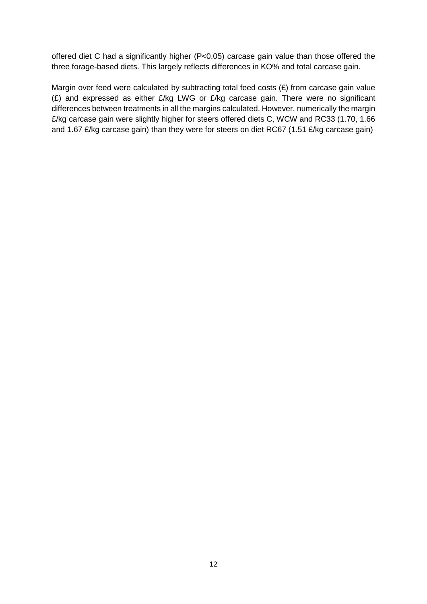offered diet C had a significantly higher (P<0.05) carcase gain value than those offered the three forage-based diets. This largely reflects differences in KO% and total carcase gain.

Margin over feed were calculated by subtracting total feed costs (£) from carcase gain value (£) and expressed as either  $E/kg$  LWG or  $E/kg$  carcase gain. There were no significant differences between treatments in all the margins calculated. However, numerically the margin £/kg carcase gain were slightly higher for steers offered diets C, WCW and RC33 (1.70, 1.66 and 1.67 £/kg carcase gain) than they were for steers on diet RC67 (1.51 £/kg carcase gain)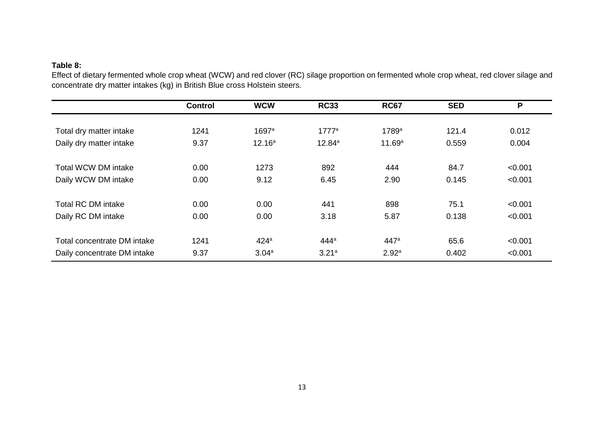## **Table 8:**

Effect of dietary fermented whole crop wheat (WCW) and red clover (RC) silage proportion on fermented whole crop wheat, red clover silage and concentrate dry matter intakes (kg) in British Blue cross Holstein steers.

|                             | <b>Control</b> | <b>WCW</b>         | <b>RC33</b>       | <b>RC67</b>       | <b>SED</b> | P       |
|-----------------------------|----------------|--------------------|-------------------|-------------------|------------|---------|
|                             |                |                    |                   |                   |            |         |
| Total dry matter intake     | 1241           | 1697a              | 1777 <sup>a</sup> | 1789a             | 121.4      | 0.012   |
| Daily dry matter intake     | 9.37           | 12.16 <sup>a</sup> | $12.84^{a}$       | 11.69a            | 0.559      | 0.004   |
|                             |                |                    |                   |                   |            |         |
| <b>Total WCW DM intake</b>  | 0.00           | 1273               | 892               | 444               | 84.7       | < 0.001 |
| Daily WCW DM intake         | 0.00           | 9.12               | 6.45              | 2.90              | 0.145      | < 0.001 |
|                             |                |                    |                   |                   |            |         |
| <b>Total RC DM intake</b>   | 0.00           | 0.00               | 441               | 898               | 75.1       | < 0.001 |
| Daily RC DM intake          | 0.00           | 0.00               | 3.18              | 5.87              | 0.138      | < 0.001 |
|                             |                |                    |                   |                   |            |         |
| Total concentrate DM intake | 1241           | 424 <sup>a</sup>   | 444 <sup>a</sup>  | 447 <sup>a</sup>  | 65.6       | < 0.001 |
| Daily concentrate DM intake | 9.37           | 3.04a              | 3.21a             | 2.92 <sup>a</sup> | 0.402      | < 0.001 |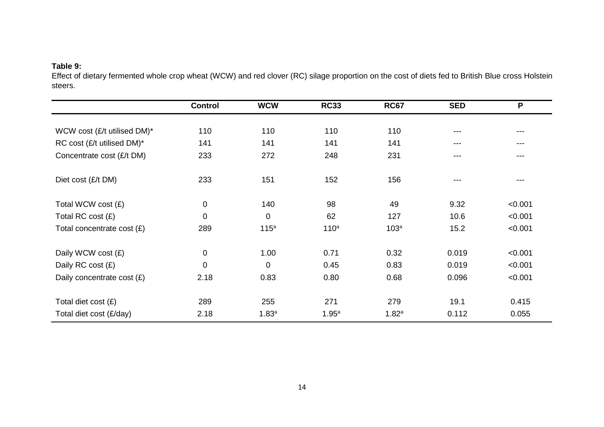## **Table 9:**

Effect of dietary fermented whole crop wheat (WCW) and red clover (RC) silage proportion on the cost of diets fed to British Blue cross Holstein steers.

|                             | <b>Control</b> | <b>WCW</b>        | <b>RC33</b>      | <b>RC67</b>       | <b>SED</b> | P       |
|-----------------------------|----------------|-------------------|------------------|-------------------|------------|---------|
|                             |                |                   |                  |                   |            |         |
| WCW cost (£/t utilised DM)* | 110            | 110               | 110              | 110               | ---        | ---     |
| RC cost (£/t utilised DM)*  | 141            | 141               | 141              | 141               | ---        | ---     |
| Concentrate cost (£/t DM)   | 233            | 272               | 248              | 231               | ---        | ---     |
| Diet cost (£/t DM)          | 233            | 151               | 152              | 156               | ---        | ---     |
| Total WCW cost (£)          | $\mathbf 0$    | 140               | 98               | 49                | 9.32       | < 0.001 |
| Total RC cost (£)           | $\mathbf 0$    | 0                 | 62               | 127               | 10.6       | < 0.001 |
| Total concentrate cost (£)  | 289            | 115 <sup>a</sup>  | 110 <sup>a</sup> | 103 <sup>a</sup>  | 15.2       | < 0.001 |
| Daily WCW cost (£)          | $\mathbf 0$    | 1.00              | 0.71             | 0.32              | 0.019      | < 0.001 |
| Daily RC cost $(E)$         | $\mathbf 0$    | 0                 | 0.45             | 0.83              | 0.019      | < 0.001 |
| Daily concentrate cost (£)  | 2.18           | 0.83              | 0.80             | 0.68              | 0.096      | < 0.001 |
|                             |                |                   |                  |                   |            |         |
| Total diet cost $(E)$       | 289            | 255               | 271              | 279               | 19.1       | 0.415   |
| Total diet cost (£/day)     | 2.18           | 1.83 <sup>a</sup> | 1.95a            | 1.82 <sup>a</sup> | 0.112      | 0.055   |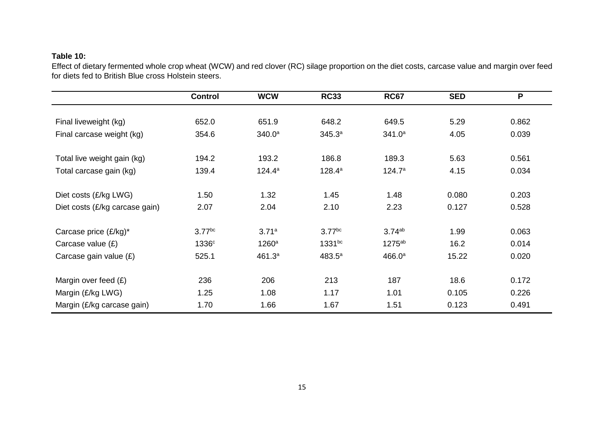## **Table 10:**

Effect of dietary fermented whole crop wheat (WCW) and red clover (RC) silage proportion on the diet costs, carcase value and margin over feed for diets fed to British Blue cross Holstein steers.

|                                | <b>Control</b>    | <b>WCW</b>         | <b>RC33</b>     | <b>RC67</b>        | <b>SED</b> | P     |
|--------------------------------|-------------------|--------------------|-----------------|--------------------|------------|-------|
|                                |                   |                    |                 |                    |            |       |
| Final liveweight (kg)          | 652.0             | 651.9              | 648.2           | 649.5              | 5.29       | 0.862 |
| Final carcase weight (kg)      | 354.6             | 340.0 <sup>a</sup> | 345.3a          | 341.0 <sup>a</sup> | 4.05       | 0.039 |
| Total live weight gain (kg)    | 194.2             | 193.2              | 186.8           | 189.3              | 5.63       | 0.561 |
| Total carcase gain (kg)        | 139.4             | $124.4^a$          | $128.4^{\circ}$ | 124.7a             | 4.15       | 0.034 |
| Diet costs (£/kg LWG)          | 1.50              | 1.32               | 1.45            | 1.48               | 0.080      | 0.203 |
| Diet costs (£/kg carcase gain) | 2.07              | 2.04               | 2.10            | 2.23               | 0.127      | 0.528 |
| Carcase price (£/kg)*          | $3.77$ bc         | 3.71a              | $3.77$ bc       | 3.74 <sup>ab</sup> | 1.99       | 0.063 |
| Carcase value $(E)$            | 1336 <sup>c</sup> | $1260^a$           | $1331^{bc}$     | $1275^{ab}$        | 16.2       | 0.014 |
| Carcase gain value $(E)$       | 525.1             | 461.3 <sup>a</sup> | $483.5^{\circ}$ | 466.0 <sup>a</sup> | 15.22      | 0.020 |
| Margin over feed $(E)$         | 236               | 206                | 213             | 187                | 18.6       | 0.172 |
| Margin (£/kg LWG)              | 1.25              | 1.08               | 1.17            | 1.01               | 0.105      | 0.226 |
| Margin (£/kg carcase gain)     | 1.70              | 1.66               | 1.67            | 1.51               | 0.123      | 0.491 |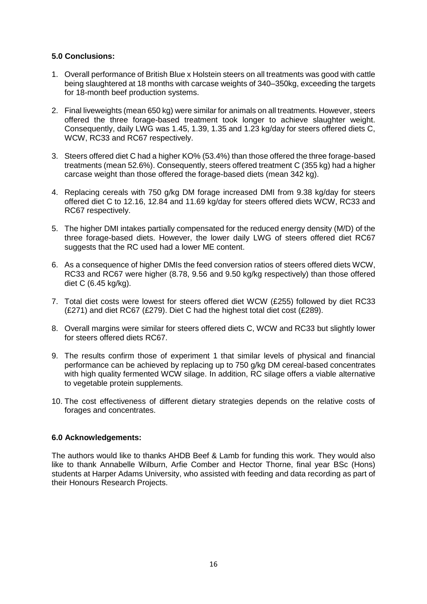#### **5.0 Conclusions:**

- 1. Overall performance of British Blue x Holstein steers on all treatments was good with cattle being slaughtered at 18 months with carcase weights of 340–350kg, exceeding the targets for 18-month beef production systems.
- 2. Final liveweights (mean 650 kg) were similar for animals on all treatments. However, steers offered the three forage-based treatment took longer to achieve slaughter weight. Consequently, daily LWG was 1.45, 1.39, 1.35 and 1.23 kg/day for steers offered diets C, WCW, RC33 and RC67 respectively.
- 3. Steers offered diet C had a higher KO% (53.4%) than those offered the three forage-based treatments (mean 52.6%). Consequently, steers offered treatment C (355 kg) had a higher carcase weight than those offered the forage-based diets (mean 342 kg).
- 4. Replacing cereals with 750 g/kg DM forage increased DMI from 9.38 kg/day for steers offered diet C to 12.16, 12.84 and 11.69 kg/day for steers offered diets WCW, RC33 and RC67 respectively.
- 5. The higher DMI intakes partially compensated for the reduced energy density (M/D) of the three forage-based diets. However, the lower daily LWG of steers offered diet RC67 suggests that the RC used had a lower ME content.
- 6. As a consequence of higher DMIs the feed conversion ratios of steers offered diets WCW, RC33 and RC67 were higher (8.78, 9.56 and 9.50 kg/kg respectively) than those offered diet C (6.45 kg/kg).
- 7. Total diet costs were lowest for steers offered diet WCW (£255) followed by diet RC33 (£271) and diet RC67 (£279). Diet C had the highest total diet cost (£289).
- 8. Overall margins were similar for steers offered diets C, WCW and RC33 but slightly lower for steers offered diets RC67.
- 9. The results confirm those of experiment 1 that similar levels of physical and financial performance can be achieved by replacing up to 750 g/kg DM cereal-based concentrates with high quality fermented WCW silage. In addition, RC silage offers a viable alternative to vegetable protein supplements.
- 10. The cost effectiveness of different dietary strategies depends on the relative costs of forages and concentrates.

#### **6.0 Acknowledgements:**

The authors would like to thanks AHDB Beef & Lamb for funding this work. They would also like to thank Annabelle Wilburn, Arfie Comber and Hector Thorne, final year BSc (Hons) students at Harper Adams University, who assisted with feeding and data recording as part of their Honours Research Projects.